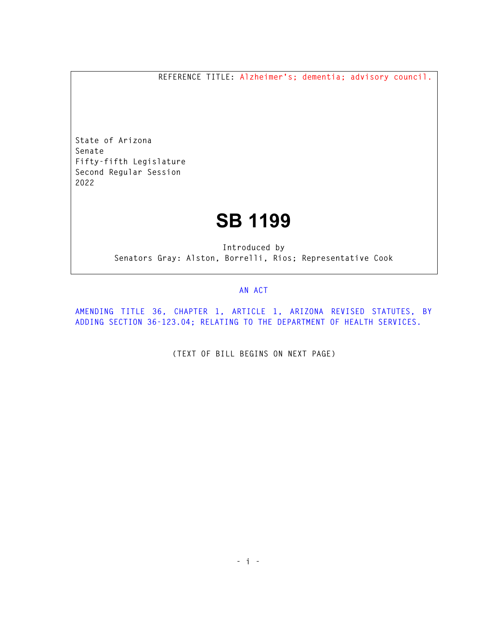**REFERENCE TITLE: Alzheimer's; dementia; advisory council.** 

**State of Arizona Senate Fifty-fifth Legislature Second Regular Session 2022** 

## **SB 1199**

**Introduced by Senators Gray: Alston, Borrelli, Rios; Representative Cook** 

## **AN ACT**

**AMENDING TITLE 36, CHAPTER 1, ARTICLE 1, ARIZONA REVISED STATUTES, BY ADDING SECTION 36-123.04; RELATING TO THE DEPARTMENT OF HEALTH SERVICES.** 

**(TEXT OF BILL BEGINS ON NEXT PAGE)**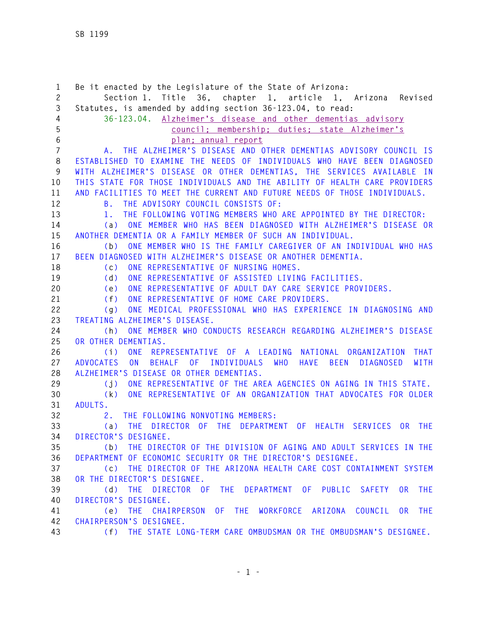**1 Be it enacted by the Legislature of the State of Arizona: 2 Section 1. Title 36, chapter 1, article 1, Arizona Revised 3 Statutes, is amended by adding section 36-123.04, to read: 4 36-123.04. Alzheimer's disease and other dementias advisory 5 council; membership; duties; state Alzheimer's 6 plan; annual report 7 A. THE ALZHEIMER'S DISEASE AND OTHER DEMENTIAS ADVISORY COUNCIL IS 8 ESTABLISHED TO EXAMINE THE NEEDS OF INDIVIDUALS WHO HAVE BEEN DIAGNOSED 9 WITH ALZHEIMER'S DISEASE OR OTHER DEMENTIAS, THE SERVICES AVAILABLE IN 10 THIS STATE FOR THOSE INDIVIDUALS AND THE ABILITY OF HEALTH CARE PROVIDERS 11 AND FACILITIES TO MEET THE CURRENT AND FUTURE NEEDS OF THOSE INDIVIDUALS. 12 B. THE ADVISORY COUNCIL CONSISTS OF: 13 1. THE FOLLOWING VOTING MEMBERS WHO ARE APPOINTED BY THE DIRECTOR: 14 (a) ONE MEMBER WHO HAS BEEN DIAGNOSED WITH ALZHEIMER'S DISEASE OR 15 ANOTHER DEMENTIA OR A FAMILY MEMBER OF SUCH AN INDIVIDUAL. 16 (b) ONE MEMBER WHO IS THE FAMILY CAREGIVER OF AN INDIVIDUAL WHO HAS 17 BEEN DIAGNOSED WITH ALZHEIMER'S DISEASE OR ANOTHER DEMENTIA. 18 (c) ONE REPRESENTATIVE OF NURSING HOMES. 19 (d) ONE REPRESENTATIVE OF ASSISTED LIVING FACILITIES. 20 (e) ONE REPRESENTATIVE OF ADULT DAY CARE SERVICE PROVIDERS. 21 (f) ONE REPRESENTATIVE OF HOME CARE PROVIDERS. 22 (g) ONE MEDICAL PROFESSIONAL WHO HAS EXPERIENCE IN DIAGNOSING AND 23 TREATING ALZHEIMER'S DISEASE. 24 (h) ONE MEMBER WHO CONDUCTS RESEARCH REGARDING ALZHEIMER'S DISEASE 25 OR OTHER DEMENTIAS. 26 (i) ONE REPRESENTATIVE OF A LEADING NATIONAL ORGANIZATION THAT 27 ADVOCATES ON BEHALF OF INDIVIDUALS WHO HAVE BEEN DIAGNOSED WITH 28 ALZHEIMER'S DISEASE OR OTHER DEMENTIAS. 29 (j) ONE REPRESENTATIVE OF THE AREA AGENCIES ON AGING IN THIS STATE. 30 (k) ONE REPRESENTATIVE OF AN ORGANIZATION THAT ADVOCATES FOR OLDER 31 ADULTS. 32 2. THE FOLLOWING NONVOTING MEMBERS: 33 (a) THE DIRECTOR OF THE DEPARTMENT OF HEALTH SERVICES OR THE 34 DIRECTOR'S DESIGNEE. 35 (b) THE DIRECTOR OF THE DIVISION OF AGING AND ADULT SERVICES IN THE 36 DEPARTMENT OF ECONOMIC SECURITY OR THE DIRECTOR'S DESIGNEE. 37 (c) THE DIRECTOR OF THE ARIZONA HEALTH CARE COST CONTAINMENT SYSTEM 38 OR THE DIRECTOR'S DESIGNEE. 39 (d) THE DIRECTOR OF THE DEPARTMENT OF PUBLIC SAFETY OR THE 40 DIRECTOR'S DESIGNEE. 41 (e) THE CHAIRPERSON OF THE WORKFORCE ARIZONA COUNCIL OR THE 42 CHAIRPERSON'S DESIGNEE. 43 (f) THE STATE LONG-TERM CARE OMBUDSMAN OR THE OMBUDSMAN'S DESIGNEE.**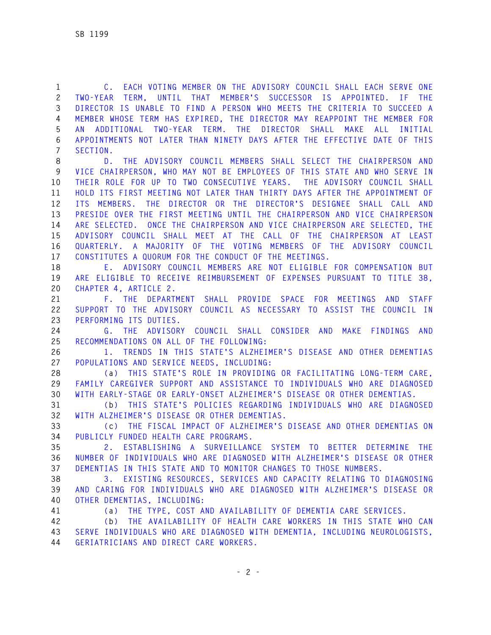**1 C. EACH VOTING MEMBER ON THE ADVISORY COUNCIL SHALL EACH SERVE ONE 2 TWO-YEAR TERM, UNTIL THAT MEMBER'S SUCCESSOR IS APPOINTED. IF THE 3 DIRECTOR IS UNABLE TO FIND A PERSON WHO MEETS THE CRITERIA TO SUCCEED A 4 MEMBER WHOSE TERM HAS EXPIRED, THE DIRECTOR MAY REAPPOINT THE MEMBER FOR 5 AN ADDITIONAL TWO-YEAR TERM. THE DIRECTOR SHALL MAKE ALL INITIAL 6 APPOINTMENTS NOT LATER THAN NINETY DAYS AFTER THE EFFECTIVE DATE OF THIS 7 SECTION.** 

**8 D. THE ADVISORY COUNCIL MEMBERS SHALL SELECT THE CHAIRPERSON AND 9 VICE CHAIRPERSON, WHO MAY NOT BE EMPLOYEES OF THIS STATE AND WHO SERVE IN 10 THEIR ROLE FOR UP TO TWO CONSECUTIVE YEARS. THE ADVISORY COUNCIL SHALL 11 HOLD ITS FIRST MEETING NOT LATER THAN THIRTY DAYS AFTER THE APPOINTMENT OF 12 ITS MEMBERS. THE DIRECTOR OR THE DIRECTOR'S DESIGNEE SHALL CALL AND 13 PRESIDE OVER THE FIRST MEETING UNTIL THE CHAIRPERSON AND VICE CHAIRPERSON 14 ARE SELECTED. ONCE THE CHAIRPERSON AND VICE CHAIRPERSON ARE SELECTED, THE 15 ADVISORY COUNCIL SHALL MEET AT THE CALL OF THE CHAIRPERSON AT LEAST 16 QUARTERLY. A MAJORITY OF THE VOTING MEMBERS OF THE ADVISORY COUNCIL 17 CONSTITUTES A QUORUM FOR THE CONDUCT OF THE MEETINGS.** 

**18 E. ADVISORY COUNCIL MEMBERS ARE NOT ELIGIBLE FOR COMPENSATION BUT 19 ARE ELIGIBLE TO RECEIVE REIMBURSEMENT OF EXPENSES PURSUANT TO TITLE 38, 20 CHAPTER 4, ARTICLE 2.** 

**21 F. THE DEPARTMENT SHALL PROVIDE SPACE FOR MEETINGS AND STAFF 22 SUPPORT TO THE ADVISORY COUNCIL AS NECESSARY TO ASSIST THE COUNCIL IN 23 PERFORMING ITS DUTIES.** 

**24 G. THE ADVISORY COUNCIL SHALL CONSIDER AND MAKE FINDINGS AND 25 RECOMMENDATIONS ON ALL OF THE FOLLOWING:** 

**26 1. TRENDS IN THIS STATE'S ALZHEIMER'S DISEASE AND OTHER DEMENTIAS 27 POPULATIONS AND SERVICE NEEDS, INCLUDING:** 

**28 (a) THIS STATE'S ROLE IN PROVIDING OR FACILITATING LONG-TERM CARE, 29 FAMILY CAREGIVER SUPPORT AND ASSISTANCE TO INDIVIDUALS WHO ARE DIAGNOSED 30 WITH EARLY-STAGE OR EARLY-ONSET ALZHEIMER'S DISEASE OR OTHER DEMENTIAS.** 

**31 (b) THIS STATE'S POLICIES REGARDING INDIVIDUALS WHO ARE DIAGNOSED 32 WITH ALZHEIMER'S DISEASE OR OTHER DEMENTIAS.** 

**33 (c) THE FISCAL IMPACT OF ALZHEIMER'S DISEASE AND OTHER DEMENTIAS ON 34 PUBLICLY FUNDED HEALTH CARE PROGRAMS.** 

**35 2. ESTABLISHING A SURVEILLANCE SYSTEM TO BETTER DETERMINE THE 36 NUMBER OF INDIVIDUALS WHO ARE DIAGNOSED WITH ALZHEIMER'S DISEASE OR OTHER 37 DEMENTIAS IN THIS STATE AND TO MONITOR CHANGES TO THOSE NUMBERS.** 

**38 3. EXISTING RESOURCES, SERVICES AND CAPACITY RELATING TO DIAGNOSING 39 AND CARING FOR INDIVIDUALS WHO ARE DIAGNOSED WITH ALZHEIMER'S DISEASE OR 40 OTHER DEMENTIAS, INCLUDING:**

**41 (a) THE TYPE, COST AND AVAILABILITY OF DEMENTIA CARE SERVICES.** 

**42 (b) THE AVAILABILITY OF HEALTH CARE WORKERS IN THIS STATE WHO CAN 43 SERVE INDIVIDUALS WHO ARE DIAGNOSED WITH DEMENTIA, INCLUDING NEUROLOGISTS, 44 GERIATRICIANS AND DIRECT CARE WORKERS.**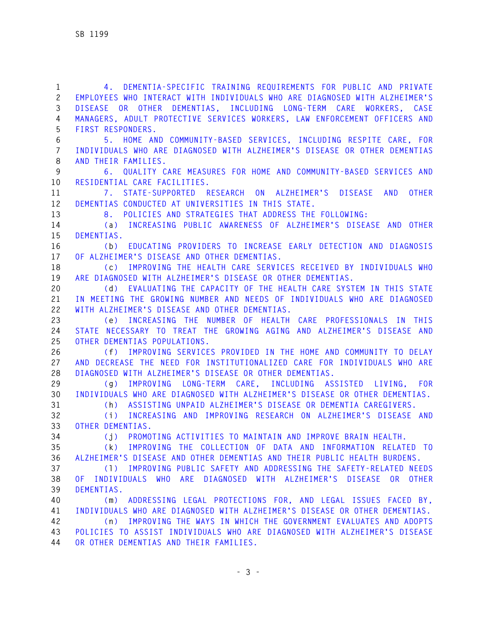**1 4. DEMENTIA-SPECIFIC TRAINING REQUIREMENTS FOR PUBLIC AND PRIVATE 2 EMPLOYEES WHO INTERACT WITH INDIVIDUALS WHO ARE DIAGNOSED WITH ALZHEIMER'S 3 DISEASE OR OTHER DEMENTIAS, INCLUDING LONG-TERM CARE WORKERS, CASE 4 MANAGERS, ADULT PROTECTIVE SERVICES WORKERS, LAW ENFORCEMENT OFFICERS AND 5 FIRST RESPONDERS. 6 5. HOME AND COMMUNITY-BASED SERVICES, INCLUDING RESPITE CARE, FOR 7 INDIVIDUALS WHO ARE DIAGNOSED WITH ALZHEIMER'S DISEASE OR OTHER DEMENTIAS 8 AND THEIR FAMILIES. 9 6. QUALITY CARE MEASURES FOR HOME AND COMMUNITY-BASED SERVICES AND 10 RESIDENTIAL CARE FACILITIES. 11 7. STATE-SUPPORTED RESEARCH ON ALZHEIMER'S DISEASE AND OTHER 12 DEMENTIAS CONDUCTED AT UNIVERSITIES IN THIS STATE. 13 8. POLICIES AND STRATEGIES THAT ADDRESS THE FOLLOWING: 14 (a) INCREASING PUBLIC AWARENESS OF ALZHEIMER'S DISEASE AND OTHER 15 DEMENTIAS. 16 (b) EDUCATING PROVIDERS TO INCREASE EARLY DETECTION AND DIAGNOSIS 17 OF ALZHEIMER'S DISEASE AND OTHER DEMENTIAS. 18 (c) IMPROVING THE HEALTH CARE SERVICES RECEIVED BY INDIVIDUALS WHO 19 ARE DIAGNOSED WITH ALZHEIMER'S DISEASE OR OTHER DEMENTIAS. 20 (d) EVALUATING THE CAPACITY OF THE HEALTH CARE SYSTEM IN THIS STATE 21 IN MEETING THE GROWING NUMBER AND NEEDS OF INDIVIDUALS WHO ARE DIAGNOSED 22 WITH ALZHEIMER'S DISEASE AND OTHER DEMENTIAS. 23 (e) INCREASING THE NUMBER OF HEALTH CARE PROFESSIONALS IN THIS 24 STATE NECESSARY TO TREAT THE GROWING AGING AND ALZHEIMER'S DISEASE AND 25 OTHER DEMENTIAS POPULATIONS. 26 (f) IMPROVING SERVICES PROVIDED IN THE HOME AND COMMUNITY TO DELAY 27 AND DECREASE THE NEED FOR INSTITUTIONALIZED CARE FOR INDIVIDUALS WHO ARE 28 DIAGNOSED WITH ALZHEIMER'S DISEASE OR OTHER DEMENTIAS. 29 (g) IMPROVING LONG-TERM CARE, INCLUDING ASSISTED LIVING, FOR 30 INDIVIDUALS WHO ARE DIAGNOSED WITH ALZHEIMER'S DISEASE OR OTHER DEMENTIAS. 31 (h) ASSISTING UNPAID ALZHEIMER'S DISEASE OR DEMENTIA CAREGIVERS. 32 (i) INCREASING AND IMPROVING RESEARCH ON ALZHEIMER'S DISEASE AND 33 OTHER DEMENTIAS. 34 (j) PROMOTING ACTIVITIES TO MAINTAIN AND IMPROVE BRAIN HEALTH. 35 (k) IMPROVING THE COLLECTION OF DATA AND INFORMATION RELATED TO 36 ALZHEIMER'S DISEASE AND OTHER DEMENTIAS AND THEIR PUBLIC HEALTH BURDENS. 37 (l) IMPROVING PUBLIC SAFETY AND ADDRESSING THE SAFETY-RELATED NEEDS 38 OF INDIVIDUALS WHO ARE DIAGNOSED WITH ALZHEIMER'S DISEASE OR OTHER 39 DEMENTIAS. 40 (m) ADDRESSING LEGAL PROTECTIONS FOR, AND LEGAL ISSUES FACED BY, 41 INDIVIDUALS WHO ARE DIAGNOSED WITH ALZHEIMER'S DISEASE OR OTHER DEMENTIAS. 42 (n) IMPROVING THE WAYS IN WHICH THE GOVERNMENT EVALUATES AND ADOPTS 43 POLICIES TO ASSIST INDIVIDUALS WHO ARE DIAGNOSED WITH ALZHEIMER'S DISEASE 44 OR OTHER DEMENTIAS AND THEIR FAMILIES.**